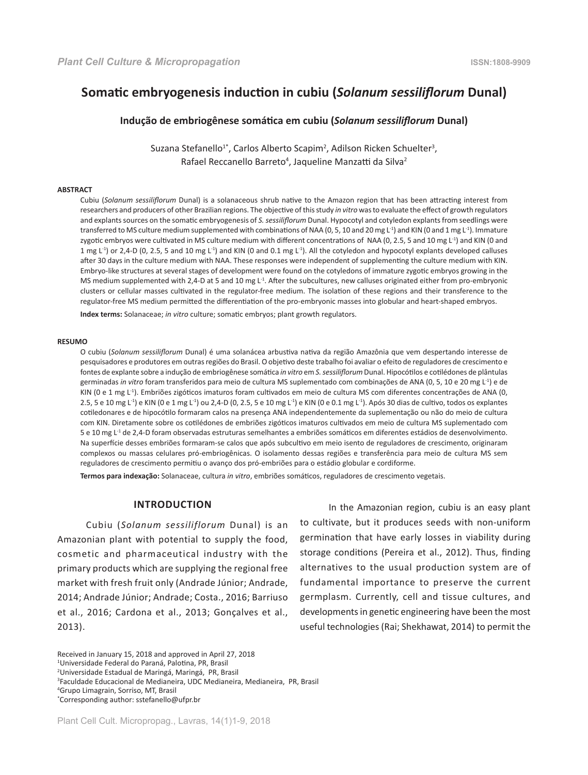# **Somatic embryogenesis induction in cubiu (***Solanum sessiliflorum* **Dunal)**

### **Indução de embriogênese somática em cubiu (***Solanum sessiliflorum* **Dunal)**

Suzana Stefanello<sup>1\*</sup>, Carlos Alberto Scapim<sup>2</sup>, Adilson Ricken Schuelter<sup>3</sup>, Rafael Reccanello Barreto<sup>4</sup>, Jaqueline Manzatti da Silva<sup>2</sup>

### **ABSTRACT**

Cubiu (*Solanum sessiliflorum* Dunal) is a solanaceous shrub native to the Amazon region that has been attracting interest from researchers and producers of other Brazilian regions. The objective of this study *in vitro* was to evaluate the effect of growth regulators and explants sources on the somatic embryogenesis of *S. sessiliflorum* Dunal. Hypocotyl and cotyledon explants from seedlings were transferred to MS culture medium supplemented with combinations of NAA (0, 5, 10 and 20 mg L<sup>-1</sup>) and KIN (0 and 1 mg L<sup>-1</sup>). Immature zygotic embryos were cultivated in MS culture medium with different concentrations of NAA (0, 2.5, 5 and 10 mg  $L<sup>1</sup>$ ) and KIN (0 and 1 mg  $L^1$ ) or 2,4-D (0, 2.5, 5 and 10 mg  $L^1$ ) and KIN (0 and 0.1 mg  $L^1$ ). All the cotyledon and hypocotyl explants developed calluses after 30 days in the culture medium with NAA. These responses were independent of supplementing the culture medium with KIN. Embryo-like structures at several stages of development were found on the cotyledons of immature zygotic embryos growing in the MS medium supplemented with 2,4-D at 5 and 10 mg L<sup>-1</sup>. After the subcultures, new calluses originated either from pro-embryonic clusters or cellular masses cultivated in the regulator-free medium. The isolation of these regions and their transference to the regulator-free MS medium permitted the differentiation of the pro-embryonic masses into globular and heart-shaped embryos.

**Index terms:** Solanaceae; *in vitro* culture; somatic embryos; plant growth regulators.

#### **RESUMO**

O cubiu (*Solanum sessiliflorum* Dunal) é uma solanácea arbustiva nativa da região Amazônia que vem despertando interesse de pesquisadores e produtores em outras regiões do Brasil. O objetivo deste trabalho foi avaliar o efeito de reguladores de crescimento e fontes de explante sobre a indução de embriogênese somática *in vitro* em *S. sessiliflorum* Dunal. Hipocótilos e cotilédones de plântulas germinadas *in vitro* foram transferidos para meio de cultura MS suplementado com combinações de ANA (0, 5, 10 e 20 mg L-1) e de KIN (0 e 1 mg L-1). Embriões zigóticos imaturos foram cultivados em meio de cultura MS com diferentes concentrações de ANA (0, 2.5, 5 e 10 mg L-1) e KIN (0 e 1 mg L-1) ou 2,4-D (0, 2.5, 5 e 10 mg L-1) e KIN (0 e 0.1 mg L-1). Após 30 dias de cultivo, todos os explantes cotiledonares e de hipocótilo formaram calos na presença ANA independentemente da suplementação ou não do meio de cultura com KIN. Diretamente sobre os cotilédones de embriões zigóticos imaturos cultivados em meio de cultura MS suplementado com 5 e 10 mg L<sup>-1</sup> de 2,4-D foram observadas estruturas semelhantes a embriões somáticos em diferentes estádios de desenvolvimento. Na superfície desses embriões formaram-se calos que após subcultivo em meio isento de reguladores de crescimento, originaram complexos ou massas celulares pró-embriogênicas. O isolamento dessas regiões e transferência para meio de cultura MS sem reguladores de crescimento permitiu o avanço dos pró-embriões para o estádio globular e cordiforme.

**Termos para indexação:** Solanaceae, cultura *in vitro*, embriões somáticos, reguladores de crescimento vegetais.

# **INTRODUCTION**

Cubiu (*Solanum sessiliflorum* Dunal) is an Amazonian plant with potential to supply the food, cosmetic and pharmaceutical industry with the primary products which are supplying the regional free market with fresh fruit only (Andrade Júnior; Andrade, 2014; Andrade Júnior; Andrade; Costa., 2016; Barriuso et al., 2016; Cardona et al., 2013; Gonçalves et al., 2013).

In the Amazonian region, cubiu is an easy plant to cultivate, but it produces seeds with non-uniform germination that have early losses in viability during storage conditions (Pereira et al., 2012). Thus, finding alternatives to the usual production system are of fundamental importance to preserve the current germplasm. Currently, cell and tissue cultures, and developments in genetic engineering have been the most useful technologies (Rai; Shekhawat, 2014) to permit the

1 Universidade Federal do Paraná, Palotina, PR, Brasil

Received in January 15, 2018 and approved in April 27, 2018

<sup>2</sup> Universidade Estadual de Maringá, Maringá, PR, Brasil

<sup>3</sup> Faculdade Educacional de Medianeira, UDC Medianeira, Medianeira, PR, Brasil

<sup>4</sup> Grupo Limagrain, Sorriso, MT, Brasil

<sup>\*</sup> Corresponding author: sstefanello@ufpr.br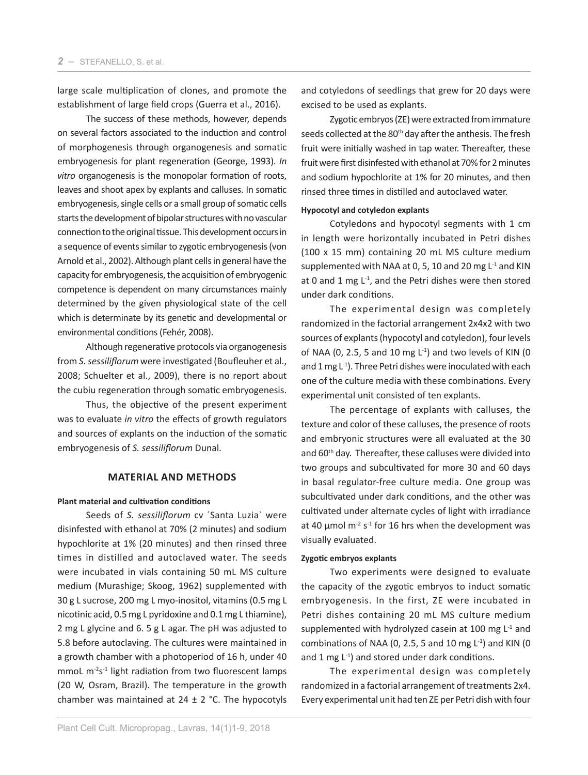large scale multiplication of clones, and promote the establishment of large field crops (Guerra et al., 2016).

The success of these methods, however, depends on several factors associated to the induction and control of morphogenesis through organogenesis and somatic embryogenesis for plant regeneration (George, 1993). *In vitro* organogenesis is the monopolar formation of roots, leaves and shoot apex by explants and calluses. In somatic embryogenesis, single cells or a small group of somatic cells starts the development of bipolar structures with no vascular connection to the original tissue. This development occurs in a sequence of events similar to zygotic embryogenesis (von Arnold et al., 2002). Although plant cells in general have the capacity for embryogenesis, the acquisition of embryogenic competence is dependent on many circumstances mainly determined by the given physiological state of the cell which is determinate by its genetic and developmental or environmental conditions (Fehér, 2008).

Although regenerative protocols via organogenesis from *S. sessiliflorum* were investigated (Boufleuher et al., 2008; Schuelter et al., 2009), there is no report about the cubiu regeneration through somatic embryogenesis.

Thus, the objective of the present experiment was to evaluate *in vitro* the effects of growth regulators and sources of explants on the induction of the somatic embryogenesis of *S. sessiliflorum* Dunal.

# **MATERIAL AND METHODS**

#### **Plant material and cultivation conditions**

Seeds of *S. sessiliflorum* cv ´Santa Luzia` were disinfested with ethanol at 70% (2 minutes) and sodium hypochlorite at 1% (20 minutes) and then rinsed three times in distilled and autoclaved water. The seeds were incubated in vials containing 50 mL MS culture medium (Murashige; Skoog, 1962) supplemented with 30 g L sucrose, 200 mg L myo-inositol, vitamins (0.5 mg L nicotinic acid, 0.5 mg L pyridoxine and 0.1 mg L thiamine), 2 mg L glycine and 6. 5 g L agar. The pH was adjusted to 5.8 before autoclaving. The cultures were maintained in a growth chamber with a photoperiod of 16 h, under 40 mmoL m<sup>-2</sup>s<sup>-1</sup> light radiation from two fluorescent lamps (20 W, Osram, Brazil). The temperature in the growth chamber was maintained at  $24 \pm 2$  °C. The hypocotyls

and cotyledons of seedlings that grew for 20 days were excised to be used as explants.

Zygotic embryos (ZE) were extracted from immature seeds collected at the 80<sup>th</sup> day after the anthesis. The fresh fruit were initially washed in tap water. Thereafter, these fruit were first disinfested with ethanol at 70% for 2 minutes and sodium hypochlorite at 1% for 20 minutes, and then rinsed three times in distilled and autoclaved water.

#### **Hypocotyl and cotyledon explants**

Cotyledons and hypocotyl segments with 1 cm in length were horizontally incubated in Petri dishes (100 x 15 mm) containing 20 mL MS culture medium supplemented with NAA at 0, 5, 10 and 20 mg  $L^{-1}$  and KIN at 0 and 1 mg  $L^{-1}$ , and the Petri dishes were then stored under dark conditions.

The experimental design was completely randomized in the factorial arrangement 2x4x2 with two sources of explants (hypocotyl and cotyledon), four levels of NAA (0, 2.5, 5 and 10 mg  $L^{-1}$ ) and two levels of KIN (0 and 1 mg  $L^{-1}$ ). Three Petri dishes were inoculated with each one of the culture media with these combinations. Every experimental unit consisted of ten explants.

The percentage of explants with calluses, the texture and color of these calluses, the presence of roots and embryonic structures were all evaluated at the 30 and 60<sup>th</sup> day. Thereafter, these calluses were divided into two groups and subcultivated for more 30 and 60 days in basal regulator-free culture media. One group was subcultivated under dark conditions, and the other was cultivated under alternate cycles of light with irradiance at 40  $\mu$ mol m<sup>-2</sup> s<sup>-1</sup> for 16 hrs when the development was visually evaluated.

## **Zygotic embryos explants**

Two experiments were designed to evaluate the capacity of the zygotic embryos to induct somatic embryogenesis. In the first, ZE were incubated in Petri dishes containing 20 mL MS culture medium supplemented with hydrolyzed casein at 100 mg  $L<sup>-1</sup>$  and combinations of NAA (0, 2.5, 5 and 10 mg  $L^{-1}$ ) and KIN (0 and 1 mg  $L^{-1}$ ) and stored under dark conditions.

The experimental design was completely randomized in a factorial arrangement of treatments 2x4. Every experimental unit had ten ZE per Petri dish with four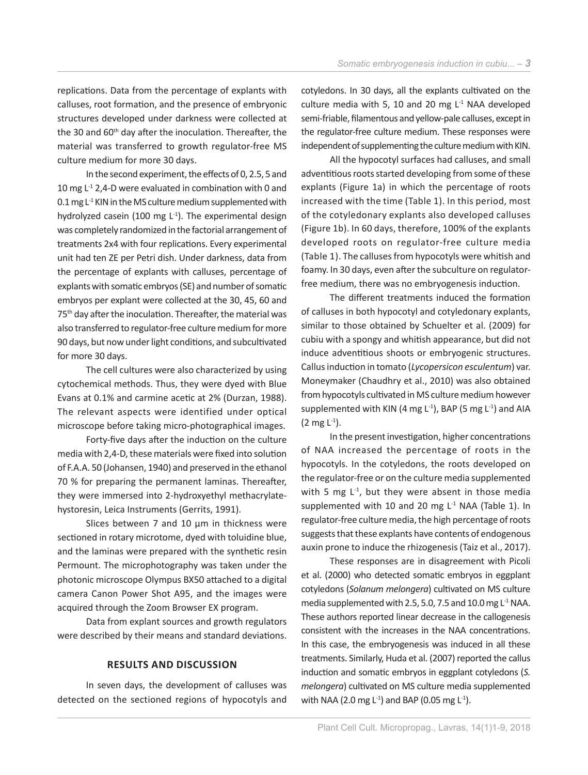replications. Data from the percentage of explants with calluses, root formation, and the presence of embryonic structures developed under darkness were collected at the 30 and 60<sup>th</sup> day after the inoculation. Thereafter, the material was transferred to growth regulator-free MS culture medium for more 30 days.

In the second experiment, the effects of 0, 2.5, 5 and 10 mg  $L^{-1}$  2,4-D were evaluated in combination with 0 and 0.1 mg  $L^1$  KIN in the MS culture medium supplemented with hydrolyzed casein (100 mg  $L^{-1}$ ). The experimental design was completely randomized in the factorial arrangement of treatments 2x4 with four replications. Every experimental unit had ten ZE per Petri dish. Under darkness, data from the percentage of explants with calluses, percentage of explants with somatic embryos (SE) and number of somatic embryos per explant were collected at the 30, 45, 60 and 75<sup>th</sup> day after the inoculation. Thereafter, the material was also transferred to regulator-free culture medium for more 90 days, but now under light conditions, and subcultivated for more 30 days.

The cell cultures were also characterized by using cytochemical methods. Thus, they were dyed with Blue Evans at 0.1% and carmine acetic at 2% (Durzan, 1988). The relevant aspects were identified under optical microscope before taking micro-photographical images.

Forty-five days after the induction on the culture media with 2,4-D, these materials were fixed into solution of F.A.A. 50 (Johansen, 1940) and preserved in the ethanol 70 % for preparing the permanent laminas. Thereafter, they were immersed into 2-hydroxyethyl methacrylatehystoresin, Leica Instruments (Gerrits, 1991).

Slices between 7 and 10 μm in thickness were sectioned in rotary microtome, dyed with toluidine blue, and the laminas were prepared with the synthetic resin Permount. The microphotography was taken under the photonic microscope Olympus BX50 attached to a digital camera Canon Power Shot A95, and the images were acquired through the Zoom Browser EX program.

Data from explant sources and growth regulators were described by their means and standard deviations.

# **RESULTS AND DISCUSSION**

In seven days, the development of calluses was detected on the sectioned regions of hypocotyls and cotyledons. In 30 days, all the explants cultivated on the culture media with 5, 10 and 20 mg  $L<sup>-1</sup>$  NAA developed semi-friable, filamentous and yellow-pale calluses, except in the regulator-free culture medium. These responses were independent of supplementing the culture medium with KIN.

All the hypocotyl surfaces had calluses, and small adventitious roots started developing from some of these explants (Figure 1a) in which the percentage of roots increased with the time (Table 1). In this period, most of the cotyledonary explants also developed calluses (Figure 1b). In 60 days, therefore, 100% of the explants developed roots on regulator-free culture media (Table 1). The calluses from hypocotyls were whitish and foamy. In 30 days, even after the subculture on regulatorfree medium, there was no embryogenesis induction.

The different treatments induced the formation of calluses in both hypocotyl and cotyledonary explants, similar to those obtained by Schuelter et al. (2009) for cubiu with a spongy and whitish appearance, but did not induce adventitious shoots or embryogenic structures. Callus induction in tomato (*Lycopersicon esculentum*) var. Moneymaker (Chaudhry et al., 2010) was also obtained from hypocotyls cultivated in MS culture medium however supplemented with KIN (4 mg  $L^{-1}$ ), BAP (5 mg  $L^{-1}$ ) and AIA  $(2 \text{ mg } L^{-1})$ .

In the present investigation, higher concentrations of NAA increased the percentage of roots in the hypocotyls. In the cotyledons, the roots developed on the regulator-free or on the culture media supplemented with 5 mg  $L^{-1}$ , but they were absent in those media supplemented with 10 and 20 mg  $L<sup>-1</sup>$  NAA (Table 1). In regulator-free culture media, the high percentage of roots suggests that these explants have contents of endogenous auxin prone to induce the rhizogenesis (Taiz et al., 2017).

These responses are in disagreement with Picoli et al. (2000) who detected somatic embryos in eggplant cotyledons (*Solanum melongera*) cultivated on MS culture media supplemented with 2.5, 5.0, 7.5 and 10.0 mg  $L^1$  NAA. These authors reported linear decrease in the callogenesis consistent with the increases in the NAA concentrations. In this case, the embryogenesis was induced in all these treatments. Similarly, Huda et al. (2007) reported the callus induction and somatic embryos in eggplant cotyledons (*S. melongera*) cultivated on MS culture media supplemented with NAA (2.0 mg L<sup>-1</sup>) and BAP (0.05 mg L<sup>-1</sup>).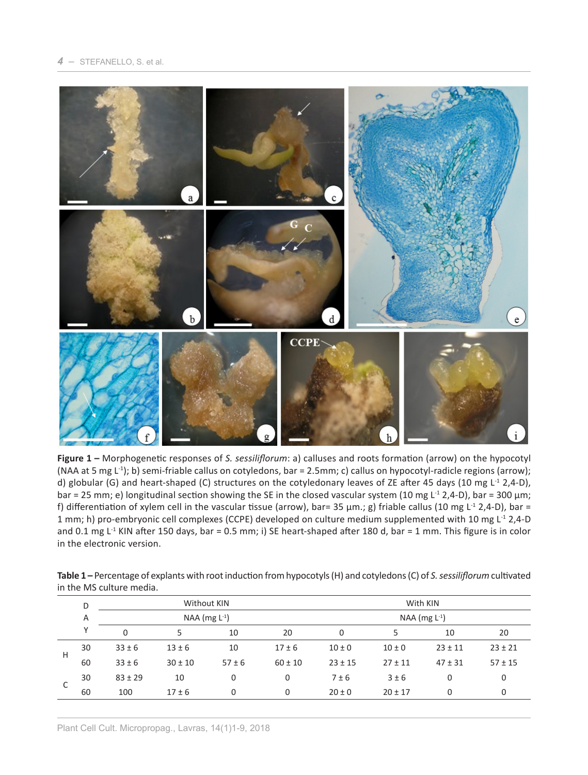

**Figure 1 –** Morphogenetic responses of *S. sessiliflorum*: a) calluses and roots formation (arrow) on the hypocotyl (NAA at 5 mg  $L^{-1}$ ); b) semi-friable callus on cotyledons, bar = 2.5mm; c) callus on hypocotyl-radicle regions (arrow); d) globular (G) and heart-shaped (C) structures on the cotyledonary leaves of ZE after 45 days (10 mg  $L^1$  2,4-D), bar = 25 mm; e) longitudinal section showing the SE in the closed vascular system (10 mg L<sup>-1</sup> 2,4-D), bar = 300 µm; f) differentiation of xylem cell in the vascular tissue (arrow), bar= 35  $\mu$ m.; g) friable callus (10 mg L<sup>-1</sup> 2,4-D), bar = 1 mm; h) pro-embryonic cell complexes (CCPE) developed on culture medium supplemented with 10 mg L<sup>-1</sup> 2,4-D and 0.1 mg  $L<sup>1</sup>$  KIN after 150 days, bar = 0.5 mm; i) SE heart-shaped after 180 d, bar = 1 mm. This figure is in color in the electronic version.

| Table 1 – Percentage of explants with root induction from hypocotyls (H) and cotyledons (C) of S. sessiliflorum cultivated |
|----------------------------------------------------------------------------------------------------------------------------|
| in the MS culture media.                                                                                                   |

|   | D  |             | Without KIN        |            |             | With KIN<br>NAA (mg $L^{-1}$ ) |             |             |             |  |
|---|----|-------------|--------------------|------------|-------------|--------------------------------|-------------|-------------|-------------|--|
|   | Α  |             | NAA (mg $L^{-1}$ ) |            |             |                                |             |             |             |  |
|   | ν  | $\mathbf 0$ |                    | 10         | 20          | 0                              | 5           | 10          | 20          |  |
| H | 30 | $33 \pm 6$  | $13 \pm 6$         | 10         | $17 \pm 6$  | $10 \pm 0$                     | $10 \pm 0$  | $23 \pm 11$ | $23 \pm 21$ |  |
|   | 60 | $33 \pm 6$  | $30 \pm 10$        | $57 \pm 6$ | $60 \pm 10$ | $23 \pm 15$                    | $27 \pm 11$ | $47 \pm 31$ | $57 \pm 15$ |  |
| C | 30 | $83 \pm 29$ | 10                 | 0          | $\mathbf 0$ | 7±6                            | 3±6         | 0           | 0           |  |
|   | 60 | 100         | $17 \pm 6$         | $\Omega$   | $\mathbf 0$ | $20 \pm 0$                     | $20 \pm 17$ |             | 0           |  |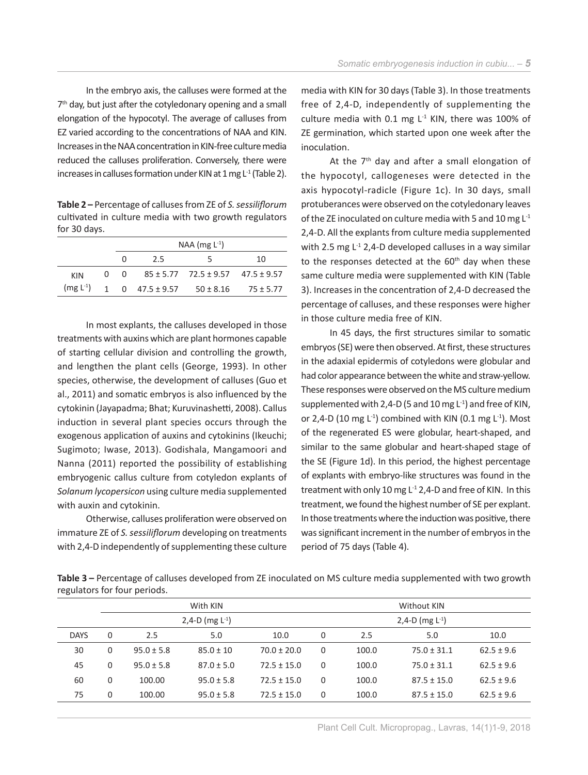In the embryo axis, the calluses were formed at the  $7<sup>th</sup>$  day, but just after the cotyledonary opening and a small elongation of the hypocotyl. The average of calluses from EZ varied according to the concentrations of NAA and KIN. Increases in the NAA concentration in KIN-free culture media reduced the calluses proliferation. Conversely, there were increases in calluses formation under KIN at 1 mg  $L^1$  (Table 2).

**Table 2 –** Percentage of calluses from ZE of *S. sessiliflorum* cultivated in culture media with two growth regulators for 30 days.

|     | $NAA$ (mg $L^{-1}$ ) |     |                                                |    |  |  |
|-----|----------------------|-----|------------------------------------------------|----|--|--|
|     | 0                    | 2.5 | 5                                              | 10 |  |  |
| KIN |                      |     | 0 0 85 ± 5.77 72.5 ± 9.57 47.5 ± 9.57          |    |  |  |
|     |                      |     | $(mg L-1)$ 1 0 47.5 ± 9.57 50 ± 8.16 75 ± 5.77 |    |  |  |
|     |                      |     |                                                |    |  |  |

In most explants, the calluses developed in those treatments with auxins which are plant hormones capable of starting cellular division and controlling the growth, and lengthen the plant cells (George, 1993). In other species, otherwise, the development of calluses (Guo et al., 2011) and somatic embryos is also influenced by the cytokinin (Jayapadma; Bhat; Kuruvinashetti, 2008). Callus induction in several plant species occurs through the exogenous application of auxins and cytokinins (Ikeuchi; Sugimoto; Iwase, 2013). Godishala, Mangamoori and Nanna (2011) reported the possibility of establishing embryogenic callus culture from cotyledon explants of *Solanum lycopersicon* using culture media supplemented with auxin and cytokinin.

Otherwise, calluses proliferation were observed on immature ZE of *S. sessiliflorum* developing on treatments with 2,4-D independently of supplementing these culture media with KIN for 30 days (Table 3). In those treatments free of 2,4-D, independently of supplementing the culture media with 0.1 mg  $L<sup>-1</sup>$  KIN, there was 100% of ZE germination, which started upon one week after the inoculation.

At the  $7<sup>th</sup>$  day and after a small elongation of the hypocotyl, callogeneses were detected in the axis hypocotyl-radicle (Figure 1c). In 30 days, small protuberances were observed on the cotyledonary leaves of the ZE inoculated on culture media with 5 and 10 mg L-1 2,4-D. All the explants from culture media supplemented with 2.5 mg  $L^{-1}$  2,4-D developed calluses in a way similar to the responses detected at the  $60<sup>th</sup>$  day when these same culture media were supplemented with KIN (Table 3). Increases in the concentration of 2,4-D decreased the percentage of calluses, and these responses were higher in those culture media free of KIN.

In 45 days, the first structures similar to somatic embryos (SE) were then observed. At first, these structures in the adaxial epidermis of cotyledons were globular and had color appearance between the white and straw-yellow. These responses were observed on the MS culture medium supplemented with 2,4-D (5 and 10 mg  $L^{-1}$ ) and free of KIN, or 2,4-D (10 mg  $L^{-1}$ ) combined with KIN (0.1 mg  $L^{-1}$ ). Most of the regenerated ES were globular, heart-shaped, and similar to the same globular and heart-shaped stage of the SE (Figure 1d). In this period, the highest percentage of explants with embryo-like structures was found in the treatment with only 10 mg L-1 2,4-D and free of KIN. In this treatment, we found the highest number of SE per explant. In those treatments where the induction was positive, there was significant increment in the number of embryos in the period of 75 days (Table 4).

**Table 3 –** Percentage of calluses developed from ZE inoculated on MS culture media supplemented with two growth regulators for four periods.

| With KIN        |                                                                                             | Without KIN          |                 |                |  |  |
|-----------------|---------------------------------------------------------------------------------------------|----------------------|-----------------|----------------|--|--|
|                 |                                                                                             | 2,4-D (mg $L^{-1}$ ) |                 |                |  |  |
| 5.0<br>10.0     | 0                                                                                           | 2.5                  | 5.0             | 10.0           |  |  |
| $70.0 \pm 20.0$ | 0                                                                                           | 100.0                | $75.0 \pm 31.1$ | $62.5 \pm 9.6$ |  |  |
| $72.5 \pm 15.0$ | 0                                                                                           | 100.0                | $75.0 \pm 31.1$ | $62.5 \pm 9.6$ |  |  |
| $72.5 \pm 15.0$ | $\Omega$                                                                                    | 100.0                | $87.5 \pm 15.0$ | $62.5 \pm 9.6$ |  |  |
| $72.5 \pm 15.0$ | $\Omega$                                                                                    | 100.0                | $87.5 \pm 15.0$ | $62.5 \pm 9.6$ |  |  |
|                 | 2,4-D (mg $L^{-1}$ )<br>$85.0 \pm 10$<br>$87.0 \pm 5.0$<br>$95.0 \pm 5.8$<br>$95.0 \pm 5.8$ |                      |                 |                |  |  |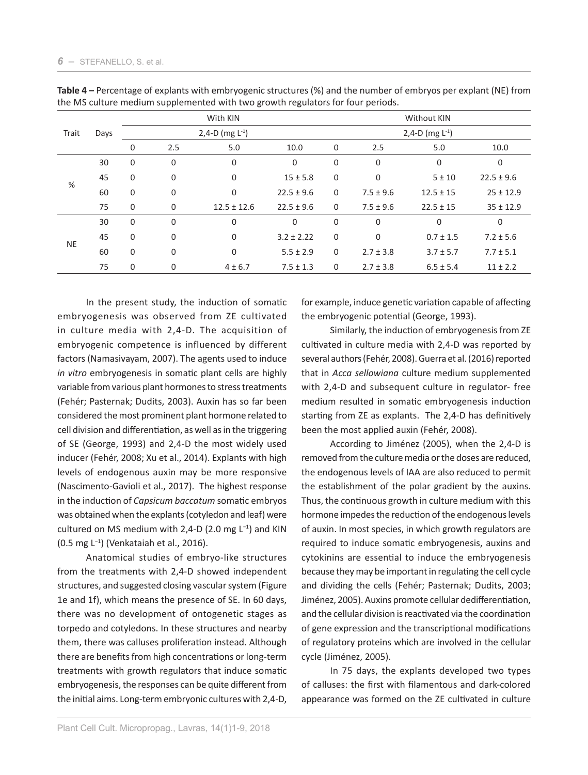|           | Days | With KIN     |             |                      |                |              | <b>Without KIN</b>   |               |                |  |  |
|-----------|------|--------------|-------------|----------------------|----------------|--------------|----------------------|---------------|----------------|--|--|
| Trait     |      |              |             | 2,4-D (mg $L^{-1}$ ) |                |              | 2,4-D (mg $L^{-1}$ ) |               |                |  |  |
|           |      | $\mathbf 0$  | 2.5         | 5.0                  | 10.0           | $\mathbf 0$  | 2.5                  | 5.0           | 10.0           |  |  |
|           | 30   | $\mathbf 0$  | $\mathbf 0$ | $\mathbf 0$          | 0              | $\mathbf 0$  | $\mathbf 0$          | 0             | $\mathbf 0$    |  |  |
|           | 45   | $\mathbf 0$  | $\mathbf 0$ | $\mathbf 0$          | $15 \pm 5.8$   | $\mathbf 0$  | 0                    | 5 ± 10        | $22.5 \pm 9.6$ |  |  |
| %         | 60   | 0            | $\mathbf 0$ | $\mathbf{0}$         | $22.5 \pm 9.6$ | $\mathbf 0$  | $7.5 \pm 9.6$        | $12.5 \pm 15$ | $25 \pm 12.9$  |  |  |
|           | 75   | $\mathbf 0$  | $\mathbf 0$ | $12.5 \pm 12.6$      | $22.5 \pm 9.6$ | $\mathbf 0$  | $7.5 \pm 9.6$        | $22.5 \pm 15$ | $35 \pm 12.9$  |  |  |
|           | 30   | $\mathbf 0$  | $\mathbf 0$ | $\mathbf 0$          | $\Omega$       | $\mathbf 0$  | 0                    | 0             | 0              |  |  |
|           | 45   | $\mathbf{0}$ | $\mathbf 0$ | $\mathbf{0}$         | $3.2 \pm 2.22$ | $\mathbf{0}$ | $\mathbf 0$          | $0.7 \pm 1.5$ | $7.2 \pm 5.6$  |  |  |
| <b>NE</b> | 60   | $\mathbf 0$  | $\mathbf 0$ | $\mathbf{0}$         | $5.5 \pm 2.9$  | $\mathbf 0$  | $2.7 \pm 3.8$        | $3.7 \pm 5.7$ | $7.7 \pm 5.1$  |  |  |
|           | 75   | $\mathbf 0$  | 0           | $4 \pm 6.7$          | $7.5 \pm 1.3$  | $\mathbf 0$  | $2.7 \pm 3.8$        | $6.5 \pm 5.4$ | $11 \pm 2.2$   |  |  |

**Table 4 –** Percentage of explants with embryogenic structures (%) and the number of embryos per explant (NE) from the MS culture medium supplemented with two growth regulators for four periods.

In the present study, the induction of somatic embryogenesis was observed from ZE cultivated in culture media with 2,4-D. The acquisition of embryogenic competence is influenced by different factors (Namasivayam, 2007). The agents used to induce *in vitro* embryogenesis in somatic plant cells are highly variable from various plant hormones to stress treatments (Fehér; Pasternak; Dudits, 2003). Auxin has so far been considered the most prominent plant hormone related to cell division and differentiation, as well as in the triggering of SE (George, 1993) and 2,4-D the most widely used inducer (Fehér, 2008; Xu et al., 2014). Explants with high levels of endogenous auxin may be more responsive (Nascimento-Gavioli et al., 2017). The highest response in the induction of *Capsicum baccatum* somatic embryos was obtained when the explants (cotyledon and leaf) were cultured on MS medium with 2,4-D (2.0 mg L−1) and KIN (0.5 mg L−1) (Venkataiah et al., 2016).

Anatomical studies of embryo-like structures from the treatments with 2,4-D showed independent structures, and suggested closing vascular system (Figure 1e and 1f), which means the presence of SE. In 60 days, there was no development of ontogenetic stages as torpedo and cotyledons. In these structures and nearby them, there was calluses proliferation instead. Although there are benefits from high concentrations or long-term treatments with growth regulators that induce somatic embryogenesis, the responses can be quite different from the initial aims. Long-term embryonic cultures with 2,4-D,

for example, induce genetic variation capable of affecting the embryogenic potential (George, 1993).

Similarly, the induction of embryogenesis from ZE cultivated in culture media with 2,4-D was reported by several authors (Fehér, 2008). Guerra et al. (2016) reported that in *Acca sellowiana* culture medium supplemented with 2,4-D and subsequent culture in regulator- free medium resulted in somatic embryogenesis induction starting from ZE as explants. The 2,4-D has definitively been the most applied auxin (Fehér, 2008).

According to Jiménez (2005), when the 2,4-D is removed from the culture media or the doses are reduced, the endogenous levels of IAA are also reduced to permit the establishment of the polar gradient by the auxins. Thus, the continuous growth in culture medium with this hormone impedes the reduction of the endogenous levels of auxin. In most species, in which growth regulators are required to induce somatic embryogenesis, auxins and cytokinins are essential to induce the embryogenesis because they may be important in regulating the cell cycle and dividing the cells (Fehér; Pasternak; Dudits, 2003; Jiménez, 2005). Auxins promote cellular dedifferentiation, and the cellular division is reactivated via the coordination of gene expression and the transcriptional modifications of regulatory proteins which are involved in the cellular cycle (Jiménez, 2005).

In 75 days, the explants developed two types of calluses: the first with filamentous and dark-colored appearance was formed on the ZE cultivated in culture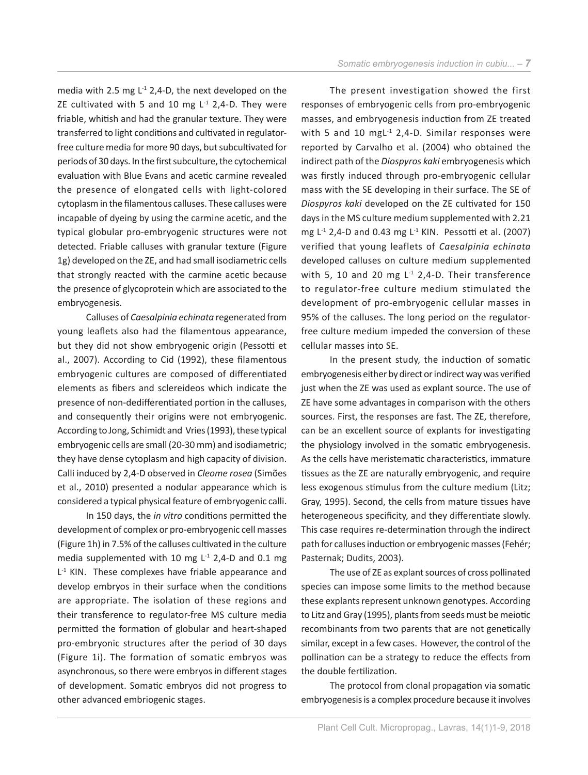media with 2.5 mg  $L^{-1}$  2,4-D, the next developed on the ZE cultivated with 5 and 10 mg  $L^{-1}$  2,4-D. They were friable, whitish and had the granular texture. They were transferred to light conditions and cultivated in regulatorfree culture media for more 90 days, but subcultivated for periods of 30 days. In the first subculture, the cytochemical evaluation with Blue Evans and acetic carmine revealed the presence of elongated cells with light-colored cytoplasm in the filamentous calluses. These calluses were incapable of dyeing by using the carmine acetic, and the typical globular pro-embryogenic structures were not detected. Friable calluses with granular texture (Figure 1g) developed on the ZE, and had small isodiametric cells that strongly reacted with the carmine acetic because the presence of glycoprotein which are associated to the embryogenesis.

Calluses of *Caesalpinia echinata* regenerated from young leaflets also had the filamentous appearance, but they did not show embryogenic origin (Pessotti et al., 2007). According to Cid (1992), these filamentous embryogenic cultures are composed of differentiated elements as fibers and sclereideos which indicate the presence of non-dedifferentiated portion in the calluses, and consequently their origins were not embryogenic. According to Jong, Schimidt and Vries (1993), these typical embryogenic cells are small (20-30 mm) and isodiametric; they have dense cytoplasm and high capacity of division. Calli induced by 2,4-D observed in *Cleome rosea* (Simões et al., 2010) presented a nodular appearance which is considered a typical physical feature of embryogenic calli.

In 150 days, the *in vitro* conditions permitted the development of complex or pro-embryogenic cell masses (Figure 1h) in 7.5% of the calluses cultivated in the culture media supplemented with 10 mg  $L^{-1}$  2,4-D and 0.1 mg L<sup>-1</sup> KIN. These complexes have friable appearance and develop embryos in their surface when the conditions are appropriate. The isolation of these regions and their transference to regulator-free MS culture media permitted the formation of globular and heart-shaped pro-embryonic structures after the period of 30 days (Figure 1i). The formation of somatic embryos was asynchronous, so there were embryos in different stages of development. Somatic embryos did not progress to other advanced embriogenic stages.

The present investigation showed the first responses of embryogenic cells from pro-embryogenic masses, and embryogenesis induction from ZE treated with 5 and 10 mg $L^{-1}$  2,4-D. Similar responses were reported by Carvalho et al. (2004) who obtained the indirect path of the *Diospyros kaki* embryogenesis which was firstly induced through pro-embryogenic cellular mass with the SE developing in their surface. The SE of *Diospyros kaki* developed on the ZE cultivated for 150 days in the MS culture medium supplemented with 2.21 mg  $L^{-1}$  2,4-D and 0.43 mg  $L^{-1}$  KIN. Pessotti et al. (2007) verified that young leaflets of *Caesalpinia echinata* developed calluses on culture medium supplemented with 5, 10 and 20 mg  $L^{-1}$  2,4-D. Their transference to regulator-free culture medium stimulated the development of pro-embryogenic cellular masses in 95% of the calluses. The long period on the regulatorfree culture medium impeded the conversion of these cellular masses into SE.

In the present study, the induction of somatic embryogenesis either by direct or indirect way was verified just when the ZE was used as explant source. The use of ZE have some advantages in comparison with the others sources. First, the responses are fast. The ZE, therefore, can be an excellent source of explants for investigating the physiology involved in the somatic embryogenesis. As the cells have meristematic characteristics, immature tissues as the ZE are naturally embryogenic, and require less exogenous stimulus from the culture medium (Litz; Gray, 1995). Second, the cells from mature tissues have heterogeneous specificity, and they differentiate slowly. This case requires re-determination through the indirect path for calluses induction or embryogenic masses (Fehér; Pasternak; Dudits, 2003).

The use of ZE as explant sources of cross pollinated species can impose some limits to the method because these explants represent unknown genotypes. According to Litz and Gray (1995), plants from seeds must be meiotic recombinants from two parents that are not genetically similar, except in a few cases. However, the control of the pollination can be a strategy to reduce the effects from the double fertilization.

The protocol from clonal propagation via somatic embryogenesis is a complex procedure because it involves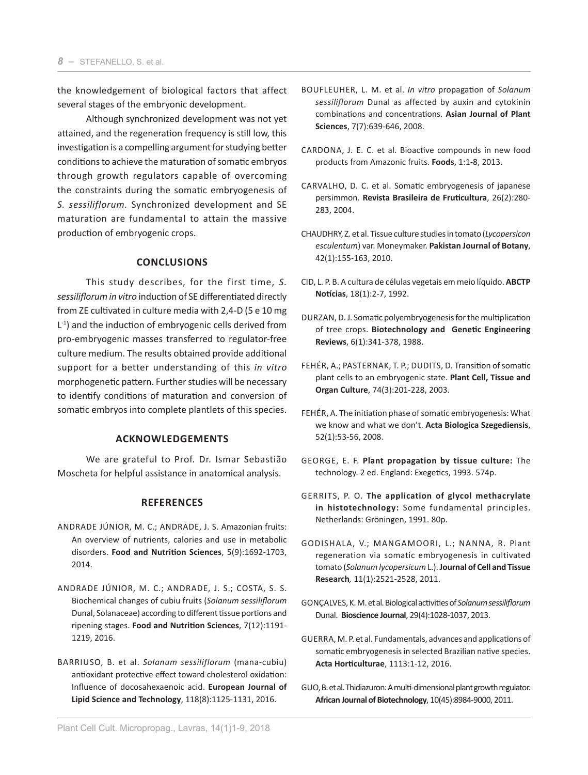the knowledgement of biological factors that affect several stages of the embryonic development.

Although synchronized development was not yet attained, and the regeneration frequency is still low, this investigation is a compelling argument for studying better conditions to achieve the maturation of somatic embryos through growth regulators capable of overcoming the constraints during the somatic embryogenesis of *S. sessiliflorum.* Synchronized development and SE maturation are fundamental to attain the massive production of embryogenic crops.

# **CONCLUSIONS**

This study describes, for the first time, *S. sessiliflorum in vitro* induction of SE differentiated directly from ZE cultivated in culture media with 2,4-D (5 e 10 mg  $L^{-1}$ ) and the induction of embryogenic cells derived from pro-embryogenic masses transferred to regulator-free culture medium. The results obtained provide additional support for a better understanding of this *in vitro* morphogenetic pattern. Further studies will be necessary to identify conditions of maturation and conversion of somatic embryos into complete plantlets of this species.

## **ACKNOWLEDGEMENTS**

We are grateful to Prof. Dr. Ismar Sebastião Moscheta for helpful assistance in anatomical analysis.

# **REFERENCES**

- ANDRADE JÚNIOR, M. C.; ANDRADE, J. S. Amazonian fruits: An overview of nutrients, calories and use in metabolic disorders. **Food and Nutrition Sciences**, 5(9):1692-1703, 2014.
- ANDRADE JÚNIOR, M. C.; ANDRADE, J. S.; COSTA, S. S. Biochemical changes of cubiu fruits (*Solanum sessiliflorum* Dunal, Solanaceae) according to different tissue portions and ripening stages. **Food and Nutrition Sciences**, 7(12):1191- 1219, 2016.
- BARRIUSO, B. et al. *Solanum sessiliflorum* (mana-cubiu) antioxidant protective effect toward cholesterol oxidation: Influence of docosahexaenoic acid. **European Journal of Lipid Science and Technology**, 118(8):1125-1131, 2016.
- BOUFLEUHER, L. M. et al. *In vitro* propagation of *Solanum sessiliflorum* Dunal as affected by auxin and cytokinin combinations and concentrations. **Asian Journal of Plant Sciences**, 7(7):639-646, 2008.
- CARDONA, J. E. C. et al. Bioactive compounds in new food products from Amazonic fruits. **Foods**, 1:1-8, 2013.
- CARVALHO, D. C. et al. Somatic embryogenesis of japanese persimmon. **Revista Brasileira de Fruticultura**, 26(2):280- 283, 2004.
- CHAUDHRY, Z. et al. Tissue culture studies in tomato (*Lycopersicon esculentum*) var. Moneymaker. **Pakistan Journal of Botany**, 42(1):155-163, 2010.
- CID, L. P. B. A cultura de células vegetais em meio líquido. **ABCTP Notícias**, 18(1):2-7, 1992.
- DURZAN, D. J. Somatic polyembryogenesis for the multiplication of tree crops. **Biotechnology and Genetic Engineering Reviews**, 6(1):341-378, 1988.
- FEHÉR, A.; PASTERNAK, T. P.; DUDITS, D. Transition of somatic plant cells to an embryogenic state. **Plant Cell, Tissue and Organ Culture**, 74(3):201-228, 2003.
- FEHÉR, A. The initiation phase of somatic embryogenesis: What we know and what we don't. **Acta Biologica Szegediensis**, 52(1):53-56, 2008.
- GEORGE, E. F. **Plant propagation by tissue culture:** The technology. 2 ed. England: Exegetics, 1993. 574p.
- GERRITS, P. O. **The application of glycol methacrylate in histotechnology:** Some fundamental principles. Netherlands: Gröningen, 1991. 80p.
- GODISHALA, V.; MANGAMOORI, L.; NANNA, R. Plant regeneration via somatic embryogenesis in cultivated tomato (*Solanum lycopersicum* L.). **Journal of Cell and Tissue Research***,* 11(1):2521-2528, 2011.
- GONÇALVES, K. M. et al. Biological activities of *Solanum sessiliflorum* Dunal. **Bioscience Journal**, 29(4):1028-1037, 2013.
- GUERRA, M. P. et al. Fundamentals, advances and applications of somatic embryogenesis in selected Brazilian native species. **Acta Horticulturae**, 1113:1-12, 2016.
- GUO, B. et al. Thidiazuron: A multi-dimensional plant growth regulator. **African Journal of Biotechnology**, 10(45):8984-9000, 2011.